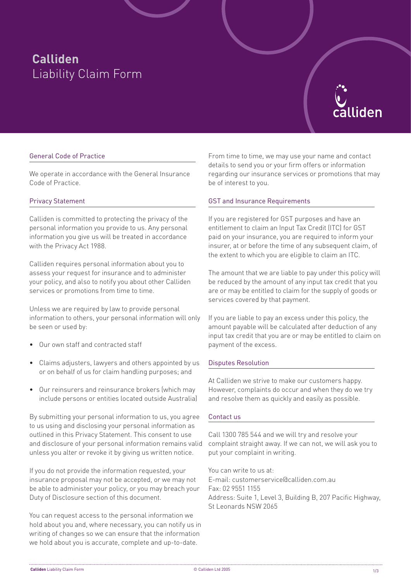# **Calliden**  Liability Claim Form



## General Code of Practice

We operate in accordance with the General Insurance Code of Practice.

## Privacy Statement

Calliden is committed to protecting the privacy of the personal information you provide to us. Any personal information you give us will be treated in accordance with the Privacy Act 1988.

Calliden requires personal information about you to assess your request for insurance and to administer your policy, and also to notify you about other Calliden services or promotions from time to time.

Unless we are required by law to provide personal information to others, your personal information will only be seen or used by:

- Our own staff and contracted staff
- Claims adjusters, lawyers and others appointed by us or on behalf of us for claim handling purposes; and
- Our reinsurers and reinsurance brokers (which may include persons or entities located outside Australia)

By submitting your personal information to us, you agree to us using and disclosing your personal information as outlined in this Privacy Statement. This consent to use and disclosure of your personal information remains valid unless you alter or revoke it by giving us written notice.

If you do not provide the information requested, your insurance proposal may not be accepted, or we may not be able to administer your policy, or you may breach your Duty of Disclosure section of this document.

You can request access to the personal information we hold about you and, where necessary, you can notify us in writing of changes so we can ensure that the information we hold about you is accurate, complete and up-to-date.

From time to time, we may use your name and contact details to send you or your firm offers or information regarding our insurance services or promotions that may be of interest to you.

## GST and Insurance Requirements

If you are registered for GST purposes and have an entitlement to claim an Input Tax Credit (ITC) for GST paid on your insurance, you are required to inform your insurer, at or before the time of any subsequent claim, of the extent to which you are eligible to claim an ITC.

The amount that we are liable to pay under this policy will be reduced by the amount of any input tax credit that you are or may be entitled to claim for the supply of goods or services covered by that payment.

If you are liable to pay an excess under this policy, the amount payable will be calculated after deduction of any input tax credit that you are or may be entitled to claim on payment of the excess.

#### Disputes Resolution

At Calliden we strive to make our customers happy. However, complaints do occur and when they do we try and resolve them as quickly and easily as possible.

#### Contact us

Call 1300 785 544 and we will try and resolve your complaint straight away. If we can not, we will ask you to put your complaint in writing.

You can write to us at: E-mail: customerservice@calliden.com.au Fax: 02 9551 1155 Address: Suite 1, Level 3, Building B, 207 Pacific Highway, St Leonards NSW 2065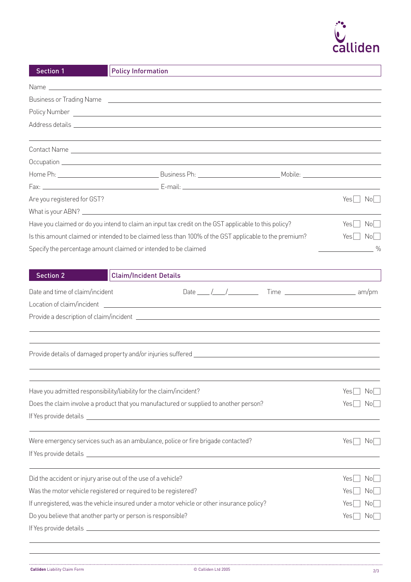

| <b>Section 1</b>                                                                                      | <b>Policy Information</b>                                                                                                                                                                                                      |                                    |  |
|-------------------------------------------------------------------------------------------------------|--------------------------------------------------------------------------------------------------------------------------------------------------------------------------------------------------------------------------------|------------------------------------|--|
|                                                                                                       | Name and the state of the state of the state of the state of the state of the state of the state of the state of the state of the state of the state of the state of the state of the state of the state of the state of the s |                                    |  |
|                                                                                                       | Business or Trading Name (2008) 2009 2010 2021 2022 2023 2024 2022 2023 2024 2022 2023 2024 2022 2023 2024 20                                                                                                                  |                                    |  |
|                                                                                                       |                                                                                                                                                                                                                                |                                    |  |
|                                                                                                       | Address details experience and the second contract of the second contract of the second contract of the second                                                                                                                 |                                    |  |
|                                                                                                       |                                                                                                                                                                                                                                |                                    |  |
|                                                                                                       |                                                                                                                                                                                                                                |                                    |  |
|                                                                                                       |                                                                                                                                                                                                                                |                                    |  |
|                                                                                                       |                                                                                                                                                                                                                                |                                    |  |
| Are you registered for GST?                                                                           |                                                                                                                                                                                                                                | $Yes \tNo$                         |  |
|                                                                                                       |                                                                                                                                                                                                                                |                                    |  |
| Have you claimed or do you intend to claim an input tax credit on the GST applicable to this policy?  | $Yes \Box No \Box$                                                                                                                                                                                                             |                                    |  |
| Is this amount claimed or intended to be claimed less than 100% of the GST applicable to the premium? | $Yes \Box No \Box$                                                                                                                                                                                                             |                                    |  |
|                                                                                                       | Specify the percentage amount claimed or intended to be claimed                                                                                                                                                                | $\sim$ $\sim$ $\sim$ $\sim$ $\sim$ |  |
| <b>Section 2</b>                                                                                      | <b>Claim/Incident Details</b>                                                                                                                                                                                                  |                                    |  |
| Date and time of claim/incident                                                                       | Date $\frac{1}{\sqrt{2}}$ / $\frac{1}{\sqrt{2}}$ Time $\frac{1}{\sqrt{2}}$ am/pm                                                                                                                                               |                                    |  |
|                                                                                                       |                                                                                                                                                                                                                                |                                    |  |
|                                                                                                       |                                                                                                                                                                                                                                |                                    |  |
|                                                                                                       |                                                                                                                                                                                                                                |                                    |  |
|                                                                                                       | Have you admitted responsibility/liability for the claim/incident?                                                                                                                                                             | No I<br>Yes                        |  |
|                                                                                                       | Does the claim involve a product that you manufactured or supplied to another person?                                                                                                                                          | Yes <br>No                         |  |
|                                                                                                       | Were emergency services such as an ambulance, police or fire brigade contacted?                                                                                                                                                | $Yes \Box No \Box$                 |  |
|                                                                                                       | Did the accident or injury arise out of the use of a vehicle?                                                                                                                                                                  | No <sub>1</sub><br>Yes             |  |
| Was the motor vehicle registered or required to be registered?                                        |                                                                                                                                                                                                                                | No<br>Yes                          |  |
| If unregistered, was the vehicle insured under a motor vehicle or other insurance policy?             | No<br>Yes                                                                                                                                                                                                                      |                                    |  |
|                                                                                                       | Do you believe that another party or person is responsible?                                                                                                                                                                    | $Yes$  <br>No                      |  |